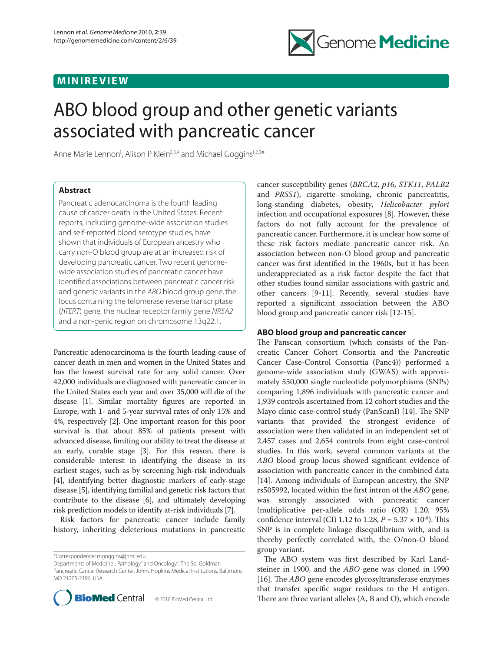# **MINIREVIEW**



# ABO blood group and other genetic variants associated with pancreatic cancer

Anne Marie Lennon<sup>1</sup>, Alison P Klein<sup>2,3,4</sup> and Michael Goggins<sup>1,2,3\*</sup>

# **Abstract**

Pancreatic adenocarcinoma is the fourth leading cause of cancer death in the United States. Recent reports, including genome-wide association studies and self-reported blood serotype studies, have shown that individuals of European ancestry who carry non-O blood group are at an increased risk of developing pancreatic cancer. Two recent genomewide association studies of pancreatic cancer have identified associations between pancreatic cancer risk and genetic variants in the *ABO* blood group gene, the locus containing the telomerase reverse transcriptase (*hTERT*) gene, the nuclear receptor family gene *NR5A2* and a non-genic region on chromosome 13q22.1.

Pancreatic adenocarcinoma is the fourth leading cause of cancer death in men and women in the United States and has the lowest survival rate for any solid cancer. Over 42,000 individuals are diagnosed with pancreatic cancer in the United States each year and over 35,000 will die of the disease [1]. Similar mortality figures are reported in Europe, with 1- and 5-year survival rates of only 15% and 4%, respectively [2]. One important reason for this poor survival is that about 85% of patients present with advanced disease, limiting our ability to treat the disease at an early, curable stage [3]. For this reason, there is considerable interest in identifying the disease in its earliest stages, such as by screening high-risk individuals [4], identifying better diagnostic markers of early-stage disease [5], identifying familial and genetic risk factors that contribute to the disease [6], and ultimately developing risk prediction models to identify at-risk individuals [7].

Risk factors for pancreatic cancer include family history, inheriting deleterious mutations in pancreatic

\*Correspondence: mgoggins@jhmi.edu

Departments of Medicine<sup>1</sup>, Pathology<sup>2</sup> and Oncology<sup>3</sup>, The Sol Goldman

Pancreatic Cancer Research Center, Johns Hopkins Medical Institutions, Baltimore, MD 21205-2196, USA



cancer susceptibility genes (*BRCA2*, *p16*, *STK11*, *PALB2* and *PRSS1*), cigarette smoking, chronic pancreatitis, long-standing diabetes, obesity, *Helicobacter pylori* infection and occupational exposures [8]. However, these factors do not fully account for the prevalence of pancreatic cancer. Furthermore, it is unclear how some of these risk factors mediate pancreatic cancer risk. An association between non-O blood group and pancreatic cancer was first identified in the 1960s, but it has been underappreciated as a risk factor despite the fact that other studies found similar associations with gastric and other cancers [9-11]. Recently, several studies have reported a significant association between the ABO blood group and pancreatic cancer risk [12-15].

# **ABO blood group and pancreatic cancer**

The Panscan consortium (which consists of the Pancreatic Cancer Cohort Consortia and the Pancreatic Cancer Case-Control Consortia (Panc4)) performed a genome-wide association study (GWAS) with approximately 550,000 single nucleotide polymorphisms (SNPs) comparing 1,896 individuals with pancreatic cancer and 1,939 controls ascertained from 12 cohort studies and the Mayo clinic case-control study (PanScanI) [14]. The SNP variants that provided the strongest evidence of association were then validated in an independent set of 2,457 cases and 2,654 controls from eight case-control studies. In this work, several common variants at the *ABO* blood group locus showed significant evidence of association with pancreatic cancer in the combined data [14]. Among individuals of European ancestry, the SNP rs505992, located within the first intron of the *ABO* gene, was strongly associated with pancreatic cancer (multiplicative per-allele odds ratio (OR) 1.20, 95% confidence interval (CI) 1.12 to 1.28,  $P = 5.37 \times 10^{-8}$ ). This SNP is in complete linkage disequilibrium with, and is thereby perfectly correlated with, the O/non-O blood group variant.

The ABO system was first described by Karl Landsteiner in 1900, and the *ABO* gene was cloned in 1990 [16]. The *ABO* gene encodes glycosyltransferase enzymes that transfer specific sugar residues to the H antigen. There are three variant alleles  $(A, B, and O)$ , which encode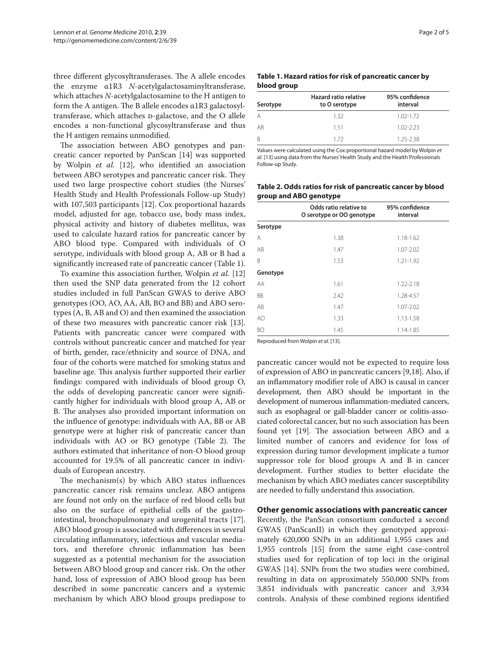three different glycosyltransferases. The A allele encodes the enzyme α1R3 *N*-acetylgalactosaminyltransferase, which attaches *N*-acetylgalactosamine to the H antigen to form the A antigen. The B allele encodes  $\alpha$ 1R3 galactosyltransferase, which attaches D-galactose, and the O allele encodes a non-functional glycosyltransferase and thus the H antigen remains unmodified.

The association between ABO genotypes and pancreatic cancer reported by PanScan [14] was supported by Wolpin *et al.* [12], who identified an association between ABO serotypes and pancreatic cancer risk. They used two large prospective cohort studies (the Nurses' Health Study and Health Professionals Follow-up Study) with 107,503 participants [12]. Cox proportional hazards model, adjusted for age, tobacco use, body mass index, physical activity and history of diabetes mellitus, was used to calculate hazard ratios for pancreatic cancer by ABO blood type. Compared with individuals of O serotype, individuals with blood group A, AB or B had a significantly increased rate of pancreatic cancer (Table 1).

To examine this association further, Wolpin *et al.* [12] then used the SNP data generated from the 12 cohort studies included in full PanScan GWAS to derive ABO genotypes (OO, AO, AA, AB, BO and BB) and ABO serotypes (A, B, AB and O) and then examined the association of these two measures with pancreatic cancer risk [13]. Patients with pancreatic cancer were compared with controls without pancreatic cancer and matched for year of birth, gender, race/ethnicity and source of DNA, and four of the cohorts were matched for smoking status and baseline age. This analysis further supported their earlier findings: compared with individuals of blood group O, the odds of developing pancreatic cancer were significantly higher for individuals with blood group A, AB or B. The analyses also provided important information on the influence of genotype: individuals with AA, BB or AB genotype were at higher risk of pancreatic cancer than individuals with AO or BO genotype (Table 2). The authors estimated that inheritance of non-O blood group accounted for 19.5% of all pancreatic cancer in individuals of European ancestry.

The mechanism(s) by which ABO status influences pancreatic cancer risk remains unclear. ABO antigens are found not only on the surface of red blood cells but also on the surface of epithelial cells of the gastrointestinal, bronchopulmonary and urogenital tracts [17]. ABO blood group is associated with differences in several circulating inflammatory, infectious and vascular mediators, and therefore chronic inflammation has been suggested as a potential mechanism for the association between ABO blood group and cancer risk. On the other hand, loss of expression of ABO blood group has been described in some pancreatic cancers and a systemic mechanism by which ABO blood groups predispose to

## **Table 1. Hazard ratios for risk of pancreatic cancer by blood group**

| Serotype | Hazard ratio relative<br>to O serotype | 95% confidence<br>interval |
|----------|----------------------------------------|----------------------------|
| Α        | 132                                    | $1.02 - 1.72$              |
| AB       | 151                                    | $1.02 - 2.23$              |
| B        | 1 72                                   | 1.25-2.38                  |

Values were calculated using the Cox proportional hazard model by Wolpin *et al.* [13] using data from the Nurses' Health Study and the Health Professionals Follow-up Study.

**Table 2. Odds ratios for risk of pancreatic cancer by blood group and ABO genotype**

|           | Odds ratio relative to<br>O serotype or OO genotype | 95% confidence<br>interval |
|-----------|-----------------------------------------------------|----------------------------|
| Serotype  |                                                     |                            |
| A         | 1.38                                                | 1.18-1.62                  |
| AB        | 1.47                                                | 1.07-2.02                  |
| B         | 1.53                                                | $1.21 - 1.92$              |
| Genotype  |                                                     |                            |
| AA        | 1.61                                                | $1.22 - 2.18$              |
| <b>BB</b> | 7.42                                                | 1.28-4.57                  |
| AB        | 1.47                                                | $1.07 - 2.02$              |
| AO        | 1.33                                                | 1.13-1.58                  |
| <b>BO</b> | 1.45                                                | 1.14-1.85                  |

Reproduced from Wolpin *et al.* [13].

pancreatic cancer would not be expected to require loss of expression of ABO in pancreatic cancers [9,18]. Also, if an inflammatory modifier role of ABO is causal in cancer development, then ABO should be important in the development of numerous inflammation-mediated cancers, such as esophageal or gall-bladder cancer or colitis-associated colorectal cancer, but no such association has been found yet [19]. The association between ABO and a limited number of cancers and evidence for loss of expression during tumor development implicate a tumor suppressor role for blood groups A and B in cancer development. Further studies to better elucidate the mechanism by which ABO mediates cancer susceptibility are needed to fully understand this association.

### **Other genomic associations with pancreatic cancer**

Recently, the PanScan consortium conducted a second GWAS (PanScanII) in which they genotyped approximately 620,000 SNPs in an additional 1,955 cases and 1,955 controls [15] from the same eight case-control studies used for replication of top loci in the original GWAS [14]. SNPs from the two studies were combined, resulting in data on approximately 550,000 SNPs from 3,851 individuals with pancreatic cancer and 3,934 controls. Analysis of these combined regions identified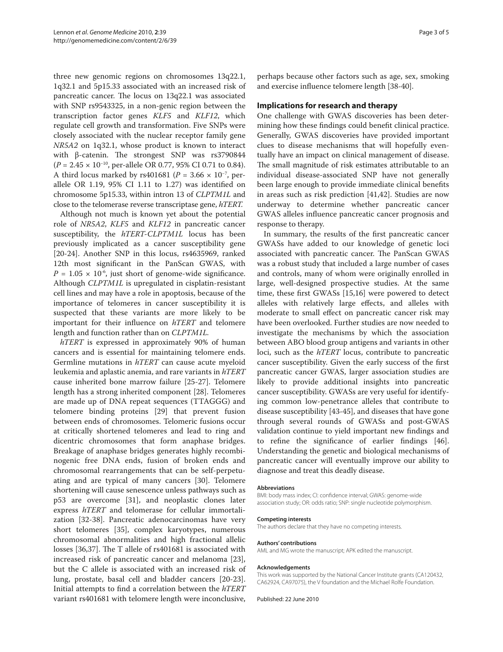three new genomic regions on chromosomes 13q22.1, 1q32.1 and 5p15.33 associated with an increased risk of pancreatic cancer. The locus on 13q22.1 was associated with SNP rs9543325, in a non-genic region between the transcription factor genes *KLF5* and *KLF12*, which regulate cell growth and transformation. Five SNPs were closely associated with the nuclear receptor family gene *NR5A2* on 1q32.1, whose product is known to interact with β-catenin. The strongest SNP was rs3790844 (*P* = 2.45 × 10−10, per-allele OR 0.77, 95% CI 0.71 to 0.84). A third locus marked by rs401681 (*P* = 3.66 × 10−7, perallele OR 1.19, 95% CI 1.11 to 1.27) was identified on chromosome 5p15.33, within intron 13 of *CLPTM1L* and close to the telomerase reverse transcriptase gene, *hTERT.*

Although not much is known yet about the potential role of *NR5A2*, *KLF5* and *KLF12* in pancreatic cancer susceptibility, the *hTERT-CLPTM1L* locus has been previously implicated as a cancer susceptibility gene [20-24]. Another SNP in this locus, rs4635969, ranked 12th most significant in the PanScan GWAS, with  $P = 1.05 \times 10^{-6}$ , just short of genome-wide significance. Although *CLPTM1L* is upregulated in cisplatin-resistant cell lines and may have a role in apoptosis, because of the importance of telomeres in cancer susceptibility it is suspected that these variants are more likely to be important for their influence on *hTERT* and telomere length and function rather than on *CLPTM1L.*

*hTERT* is expressed in approximately 90% of human cancers and is essential for maintaining telomere ends. Germline mutations in *hTERT* can cause acute myeloid leukemia and aplastic anemia, and rare variants in *hTERT* cause inherited bone marrow failure [25-27]. Telomere length has a strong inherited component [28]. Telomeres are made up of DNA repeat sequences (TTAGGG) and telomere binding proteins [29] that prevent fusion between ends of chromosomes. Telomeric fusions occur at critically shortened telomeres and lead to ring and dicentric chromosomes that form anaphase bridges. Breakage of anaphase bridges generates highly recombinogenic free DNA ends, fusion of broken ends and chromosomal rearrangements that can be self-perpetuating and are typical of many cancers [30]. Telomere shortening will cause senescence unless pathways such as p53 are overcome [31], and neoplastic clones later express *hTERT* and telomerase for cellular immortalization [32-38]. Pancreatic adenocarcinomas have very short telomeres [35], complex karyotypes, numerous chromosomal abnormalities and high fractional allelic losses [36,37]. The T allele of rs401681 is associated with increased risk of pancreatic cancer and melanoma [23], but the C allele is associated with an increased risk of lung, prostate, basal cell and bladder cancers [20-23]. Initial attempts to find a correlation between the *hTERT* variant rs401681 with telomere length were inconclusive,

perhaps because other factors such as age, sex, smoking and exercise influence telomere length [38-40].

## **Implications for research and therapy**

One challenge with GWAS discoveries has been determining how these findings could benefit clinical practice. Generally, GWAS discoveries have provided important clues to disease mechanisms that will hopefully eventually have an impact on clinical management of disease. The small magnitude of risk estimates attributable to an individual disease-associated SNP have not generally been large enough to provide immediate clinical benefits in areas such as risk prediction [41,42]. Studies are now underway to determine whether pancreatic cancer GWAS alleles influence pancreatic cancer prognosis and response to therapy.

In summary, the results of the first pancreatic cancer GWASs have added to our knowledge of genetic loci associated with pancreatic cancer. The PanScan GWAS was a robust study that included a large number of cases and controls, many of whom were originally enrolled in large, well-designed prospective studies. At the same time, these first GWASs [15,16] were powered to detect alleles with relatively large effects, and alleles with moderate to small effect on pancreatic cancer risk may have been overlooked. Further studies are now needed to investigate the mechanisms by which the association between ABO blood group antigens and variants in other loci, such as the *hTERT* locus, contribute to pancreatic cancer susceptibility. Given the early success of the first pancreatic cancer GWAS, larger association studies are likely to provide additional insights into pancreatic cancer susceptibility. GWASs are very useful for identifying common low-penetrance alleles that contribute to disease susceptibility [43-45], and diseases that have gone through several rounds of GWASs and post-GWAS validation continue to yield important new findings and to refine the significance of earlier findings [46]. Understanding the genetic and biological mechanisms of pancreatic cancer will eventually improve our ability to diagnose and treat this deadly disease.

#### **Abbreviations**

BMI: body mass index; CI: confidence interval; GWAS: genome-wide association study; OR: odds ratio; SNP: single nucleotide polymorphism.

#### **Competing interests**

The authors declare that they have no competing interests.

AML and MG wrote the manuscript; APK edited the manuscript.

# **Acknowledgements**

**Authors' contributions**

This work was supported by the National Cancer Institute grants (CA120432, CA62924, CA97075), the V foundation and the Michael Rolfe Foundation.

Published: 22 June 2010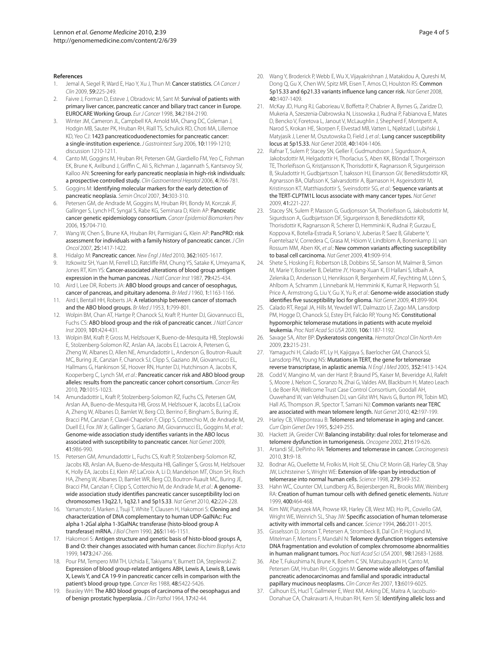#### **References**

- 1. Jemal A, Siegel R, Ward E, Hao Y, Xu J, Thun M: Cancer statistics. *CA Cancer J Clin* 2009, 59:225-249.
- Faivre J, Forman D, Esteve J, Obradovic M, Sant M: Survival of patients with primary liver cancer, pancreatic cancer and biliary tract cancer in Europe. EUROCARE Working Group. *Eur J Cancer* 1998, 34:2184-2190.
- Winter JM, Cameron JL, Campbell KA, Arnold MA, Chang DC, Coleman J, Hodgin MB, Sauter PK, Hruban RH, Riall TS, Schulick RD, Choti MA, Lillemoe KD, Yeo CJ: 1423 pancreaticoduodenectomies for pancreatic cancer: a single-institution experience. *J Gastrointest Surg* 2006, 10:1199-1210; discussion 1210-1211.
- 4. Canto MI, Goggins M, Hruban RH, Petersen GM, Giardiello FM, Yeo C, Fishman EK, Brune K, Axilbund J, Griffin C, Ali S, Richman J, Jagannath S, Kantsevoy SV, Kalloo AN: Screening for early pancreatic neoplasia in high-risk individuals: a prospective controlled study. *Clin Gastroenterol Hepatol* 2006, 4:766-781.
- 5. Goggins M: Identifying molecular markers for the early detection of pancreatic neoplasia. *Semin Oncol* 2007, 34:303-310.
- 6. Petersen GM, de Andrade M, Goggins M, Hruban RH, Bondy M, Korczak JF, Gallinger S, Lynch HT, Syngal S, Rabe KG, Seminara D, Klein AP: Pancreatic cancer genetic epidemiology consortium. *Cancer Epidemiol Biomarkers Prev*  2006, 15:704-710.
- 7. Wang W, Chen S, Brune KA, Hruban RH, Parmigiani G, Klein AP: PancPRO: risk assessment for individuals with a family history of pancreatic cancer. *J Clin Oncol* 2007, 25:1417-1422.
- 8. Hidalgo M: Pancreatic cancer. *New Engl J Med* 2010, 362:1605-1617.
- Itzkowitz SH, Yuan M, Ferrell LD, Ratcliffe RM, Chung YS, Satake K, Umeyama K, Jones RT, Kim YS: Cancer-associated alterations of blood group antigen expression in the human pancreas. *J Natl Cancer Inst* 1987, 79:425-434.
- 10. Aird I, Lee DR, Roberts JA: ABO blood groups and cancer of oesophagus, cancer of pancreas, and pituitary adenoma. *Br Med J* 1960, 1:1163-1166.
- 11. Aird I, Bentall HH, Roberts JA: A relationship between cancer of stomach and the ABO blood groups. *Br Med J* 1953, 1:799-801.
- 12. Wolpin BM, Chan AT, Hartge P, Chanock SJ, Kraft P, Hunter DJ, Giovannucci EL, Fuchs CS: ABO blood group and the risk of pancreatic cancer. *J Natl Cancer Inst* 2009, 101:424-431.
- 13. Wolpin BM, Kraft P, Gross M, Helzlsouer K, Bueno-de-Mesquita HB, Steplowski E, Stolzenberg-Solomon RZ, Arslan AA, Jacobs EJ, Lacroix A, Petersen G, Zheng W, Albanes D, Allen NE, Amundadottir L, Anderson G, Boutron-Ruault MC, Buring JE, Canzian F, Chanock SJ, Clipp S, Gaziano JM, Giovannucci EL, Hallmans G, Hankinson SE, Hoover RN, Hunter DJ, Hutchinson A, Jacobs K, Kooperberg C, Lynch SM, *et al*.: Pancreatic cancer risk and ABO blood group alleles: results from the pancreatic cancer cohort consortium. *Cancer Res*  2010, 70:1015-1023.
- 14. Amundadottir L, Kraft P, Stolzenberg-Solomon RZ, Fuchs CS, Petersen GM, Arslan AA, Bueno-de-Mesquita HB, Gross M, Helzlsouer K, Jacobs EJ, LaCroix A, Zheng W, Albanes D, Bamlet W, Berg CD, Berrino F, Bingham S, Buring JE, Bracci PM, Canzian F, Clavel-Chapelon F, Clipp S, Cotterchio M, de Andrade M, Duell EJ, Fox JW Jr, Gallinger S, Gaziano JM, Giovannucci EL, Goggins M, *et al*.: Genome-wide association study identifies variants in the ABO locus associated with susceptibility to pancreatic cancer. *Nat Genet* 2009, 41:986-990.
- 15. Petersen GM, Amundadottir L, Fuchs CS, Kraft P, Stolzenberg-Solomon RZ, Jacobs KB, Arslan AA, Bueno-de-Mesquita HB, Gallinger S, Gross M, Helzlsouer K, Holly EA, Jacobs EJ, Klein AP, LaCroix A, Li D, Mandelson MT, Olson SH, Risch HA, Zheng W, Albanes D, Bamlet WR, Berg CD, Boutron-Ruault MC, Buring JE, Bracci PM, Canzian F, Clipp S, Cotterchio M, de Andrade M, *et al*.: A genomewide association study identifies pancreatic cancer susceptibility loci on chromosomes 13q22.1, 1q32.1 and 5p15.33. *Nat Genet* 2010, 42:224-228.
- Yamamoto F, Marken J, Tsuji T, White T, Clausen H, Hakomori S: Cloning and characterization of DNA complementary to human UDP-GalNAc: Fuc alpha 1-2Gal alpha 1-3GalNAc transferase (histo-blood group A transferase) mRNA. *J Biol Chem* 1990, 265:1146-1151.
- 17. Hakomori S: Antigen structure and genetic basis of histo-blood groups A, B and O: their changes associated with human cancer. *Biochim Biophys Acta* 1999, 1473:247-266.
- 18. Pour PM, Tempero MM TH, Uchida E, Takiyama Y, Burnett DA, Steplewski Z: Expression of blood group-related antigens ABH, Lewis A, Lewis B, Lewis X, Lewis Y, and CA 19-9 in pancreatic cancer cells in comparison with the patient's blood group type. *Cancer Res* 1988, 48:5422-5426.
- 19. Beasley WH: The ABO blood groups of carcinoma of the oesophagus and of benign prostatic hyperplasia. *J Clin Pathol* 1964, 17:42-44.
- 20. Wang Y, Broderick P, Webb E, Wu X, Vijayakrishnan J, Matakidou A, Qureshi M, Dong Q, Gu X, Chen WV, Spitz MR, Eisen T, Amos CI, Houlston RS: Common 5p15.33 and 6p21.33 variants influence lung cancer risk. *Nat Genet* 2008, 40:1407-1409.
- 21. McKay JD, Hung RJ, Gaborieau V, Boffetta P, Chabrier A, Byrnes G, Zaridze D, Mukeria A, Szeszenia-Dabrowska N, Lissowska J, Rudnai P, Fabianova E, Mates D, Bencko V, Foretova L, Janout V, McLaughlin J, Shepherd F, Montpetit A, Narod S, Krokan HE, Skorpen F, Elvestad MB, Vatten L, Njølstad I, Lubiñski J, Matyjasik J, Lener M, Oszutowska D, Field J, *et al*.: Lung cancer susceptibility locus at 5p15.33. *Nat Genet* 2008, 40:1404-1406.
- 22. Rafnar T, Sulem P, Stacey SN, Geller F, Gudmundsson J, Sigurdsson A, Jakobsdottir M, Helgadottir H, Thorlacius S, Aben KK, Blöndal T, Thorgeirsson TE, Thorleifsson G, Kristjansson K, Thorisdottir K, Ragnarsson R, Sigurgeirsson B, Skuladottir H, Gudbjartsson T, Isaksson HJ, Einarsson GV, Benediktsdottir KR, Agnarsson BA, Olafsson K, Salvarsdottir A, Bjarnason H, Asgeirsdottir M, Kristinsson KT, Matthiasdottir S, Sveinsdottir SG, *et al*.: Sequence variants at the TERT-CLPTM1L locus associate with many cancer types. *Nat Genet*  2009, 41:221-227.
- 23. Stacey SN, Sulem P, Masson G, Gudjonsson SA, Thorleifsson G, Jakobsdottir M, Sigurdsson A, Gudbjartsson DF, Sigurgeirsson B, Benediktsdottir KR, Thorisdottir K, Ragnarsson R, Scherer D, Hemminki K, Rudnai P, Gurzau E, Koppova K, Botella-Estrada R, Soriano V, Juberias P, Saez B, Gilaberte Y, Fuentelsaz V, Corredera C, Grasa M, Höiom V, Lindblom A, Bonenkamp JJ, van Rossum MM, Aben KK, *et al*.: New common variants affecting susceptibility to basal cell carcinoma. *Nat Genet* 2009, 41:909-914.
- 24. Shete S, Hosking FJ, Robertson LB, Dobbins SE, Sanson M, Malmer B, Simon M, Marie Y, Boisselier B, Delattre JY, Hoang-Xuan K, El Hallani S, Idbaih A, Zelenika D, Andersson U, Henriksson R, Bergenheim AT, Feychting M, Lönn S, Ahlbom A, Schramm J, Linnebank M, Hemminki K, Kumar R, Hepworth SJ, Price A, Armstrong G, Liu Y, Gu X, Yu R, *et al*.: Genome-wide association study identifies five susceptibility loci for glioma. *Nat Genet* 2009, 41:899-904.
- Calado RT, Regal JA, Hills M, Yewdell WT, Dalmazzo LF, Zago MA, Lansdorp PM, Hogge D, Chanock SJ, Estey EH, Falcão RP, Young NS: Constitutional hypomorphic telomerase mutations in patients with acute myeloid leukemia. *Proc Natl Acad Sci USA* 2009, 106:1187-1192.
- 26. Savage SA, Alter BP: Dyskeratosis congenita. *Hematol Oncol Clin North Am*  2009, 23:215-231.
- 27. Yamaguchi H, Calado RT, Ly H, Kajigaya S, Baerlocher GM, Chanock SJ, Lansdorp PM, Young NS: Mutations in TERT, the gene for telomerase reverse transcriptase, in aplastic anemia. *N Engl J Med* 2005, 352:1413-1424.
- 28. Codd V, Mangino M, van der Harst P, Braund PS, Kaiser M, Beveridge AJ, Rafelt S, Moore J, Nelson C, Soranzo N, Zhai G, Valdes AM, Blackburn H, Mateo Leach I, de Boer RA; Wellcome Trust Case Control Consortium, Goodall AH, Ouwehand W, van Veldhuisen DJ, van Gilst WH, Navis G, Burton PR, Tobin MD, Hall AS, Thompson JR, Spector T, Samani NJ: Common variants near TERC are associated with mean telomere length. *Nat Genet* 2010, 42:197-199.
- 29. Harley CB, Villeponteau B: Telomeres and telomerase in aging and cancer. *Curr Opin Genet Dev* 1995, 5:249-255.
- 30. Hackett JA, Greider CW: Balancing instability: dual roles for telomerase and telomere dysfunction in tumorigenesis. *Oncogene* 2002, 21:619-626.
- 31. Artandi SE, DePinho RA: Telomeres and telomerase in cancer. *Carcinogenesis*  2010, 31:9-18.
- 32. Bodnar AG, Ouellette M, Frolkis M, Holt SE, Chiu CP, Morin GB, Harley CB, Shay JW, Lichtsteiner S, Wright WE: Extension of life-span by introduction of telomerase into normal human cells. *Science* 1998, 279:349-352.
- 33. Hahn WC, Counter CM, Lundberg AS, Beijersbergen RL, Brooks MW, Weinberg RA: Creation of human tumour cells with defined genetic elements. *Nature*  1999, 400:464-468.
- 34. Kim NW, Piatyszek MA, Prowse KR, Harley CB, West MD, Ho PL, Coviello GM, Wright WE, Weinrich SL, Shay JW: Specific association of human telomerase activity with immortal cells and cancer. *Science* 1994, 266:2011-2015.
- 35. Gisselsson D, Jonson T, Petersen A, Strombeck B, Dal Cin P, Hoglund M, Mitelman F, Mertens F, Mandahl N: Telomere dysfunction triggers extensive DNA fragmentation and evolution of complex chromosome abnormalities in human malignant tumors. *Proc Natl Acad Sci USA* 2001, 98:12683-12688.
- 36. Abe T, Fukushima N, Brune K, Boehm C SN, Matsubayashi H, Canto M, Petersen GM, Hruban RH, Goggins M: Genome wide allelotypes of familial pancreatic adenocarcinomas and familial and sporadic intraductal papillary mucinous neoplasms. *Clin Cancer Res* 2007, 13:6019-6025.
- 37. Calhoun ES, Hucl T, Gallmeier E, West KM, Arking DE, Maitra A, Iacobuzio-Donahue CA, Chakravarti A, Hruban RH, Kern SE: Identifying allelic loss and